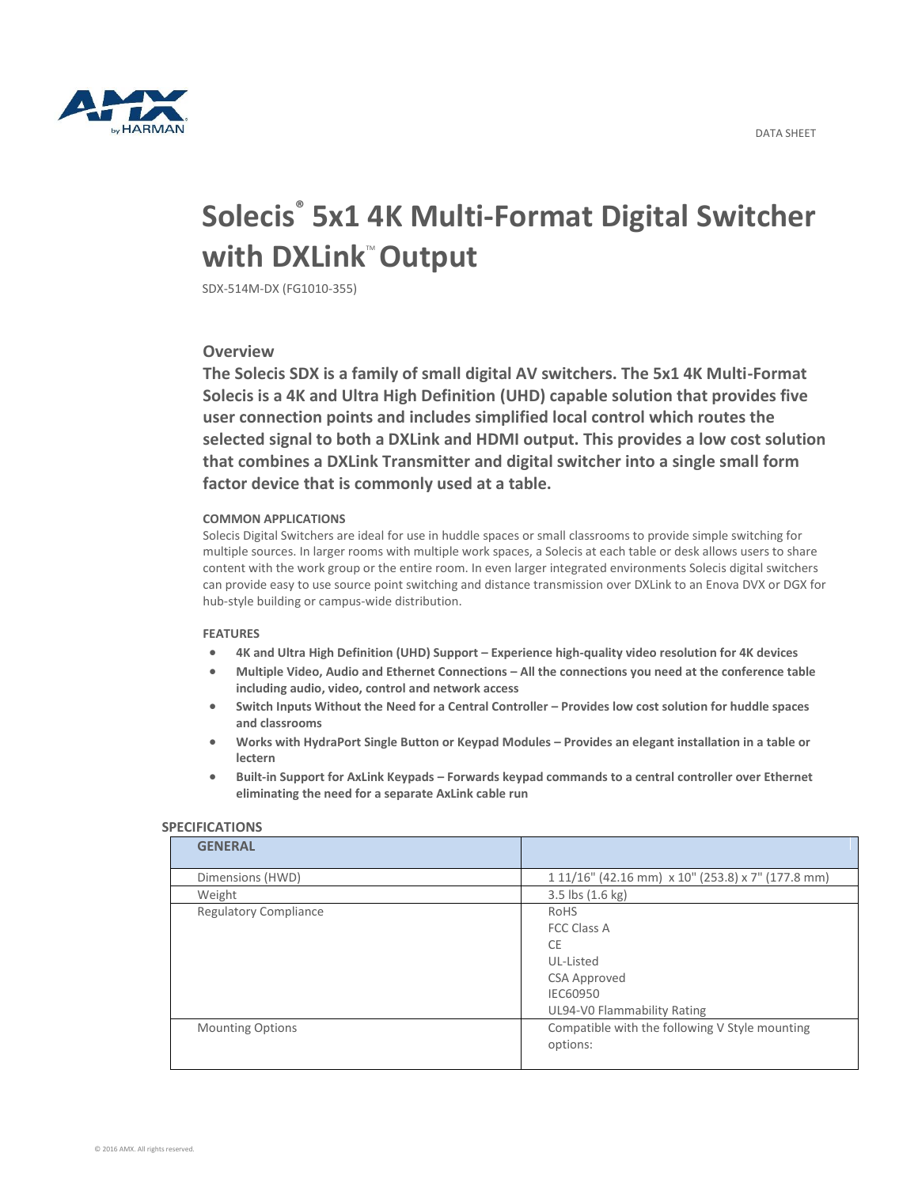

# **Solecis® 5x1 4K Multi-Format Digital Switcher with DXLink<sup>"</sup> Output**

SDX-514M-DX (FG1010-355)

# **Overview**

**The Solecis SDX is a family of small digital AV switchers. The 5x1 4K Multi-Format Solecis is a 4K and Ultra High Definition (UHD) capable solution that provides five user connection points and includes simplified local control which routes the selected signal to both a DXLink and HDMI output. This provides a low cost solution that combines a DXLink Transmitter and digital switcher into a single small form factor device that is commonly used at a table.**

## **COMMON APPLICATIONS**

Solecis Digital Switchers are ideal for use in huddle spaces or small classrooms to provide simple switching for multiple sources. In larger rooms with multiple work spaces, a Solecis at each table or desk allows users to share content with the work group or the entire room. In even larger integrated environments Solecis digital switchers can provide easy to use source point switching and distance transmission over DXLink to an Enova DVX or DGX for hub-style building or campus-wide distribution.

### **FEATURES**

- **4K and Ultra High Definition (UHD) Support – Experience high-quality video resolution for 4K devices**
- **Multiple Video, Audio and Ethernet Connections – All the connections you need at the conference table including audio, video, control and network access**
- **Switch Inputs Without the Need for a Central Controller – Provides low cost solution for huddle spaces and classrooms**
- **Works with HydraPort Single Button or Keypad Modules – Provides an elegant installation in a table or lectern**
- **Built-in Support for AxLink Keypads – Forwards keypad commands to a central controller over Ethernet eliminating the need for a separate AxLink cable run**

| <b>GENERAL</b>               |                                                                                                                 |
|------------------------------|-----------------------------------------------------------------------------------------------------------------|
| Dimensions (HWD)             | 1 11/16" (42.16 mm) x 10" (253.8) x 7" (177.8 mm)                                                               |
| Weight                       | $3.5$ lbs $(1.6 \text{ kg})$                                                                                    |
| <b>Regulatory Compliance</b> | RoHS<br><b>FCC Class A</b><br>CE<br>UL-Listed<br><b>CSA Approved</b><br>IEC60950<br>UL94-V0 Flammability Rating |
| <b>Mounting Options</b>      | Compatible with the following V Style mounting<br>options:                                                      |

### **SPECIFICATIONS**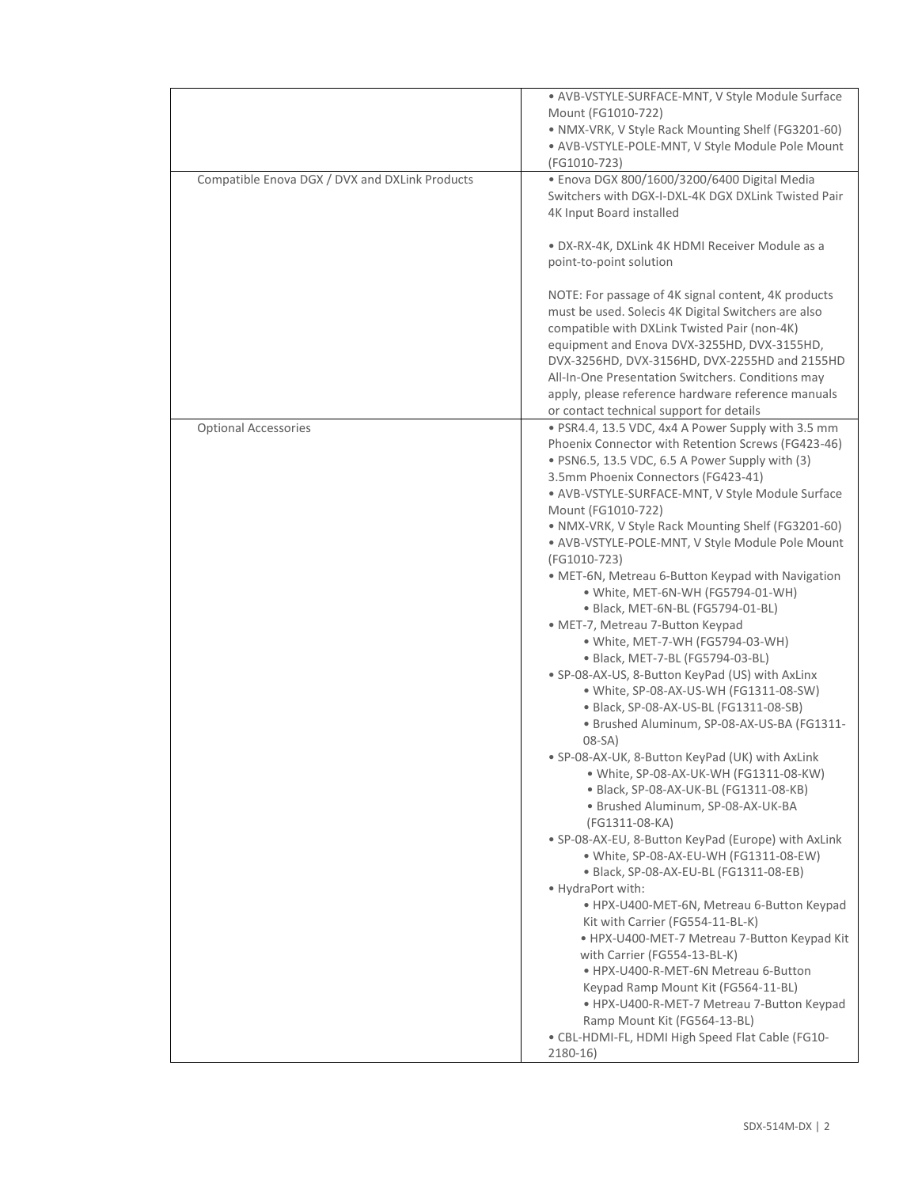|                                                | • AVB-VSTYLE-SURFACE-MNT, V Style Module Surface<br>Mount (FG1010-722)<br>· NMX-VRK, V Style Rack Mounting Shelf (FG3201-60)<br>· AVB-VSTYLE-POLE-MNT, V Style Module Pole Mount<br>(FG1010-723)                                                                                                                                                                                                                                                                                                                                                                                                                                                                                                                                                                                                                                                                                                                                                                                                                                                                                                                                                                                                                                                                                                                                                                                                                                                                                                                                                                                                                 |
|------------------------------------------------|------------------------------------------------------------------------------------------------------------------------------------------------------------------------------------------------------------------------------------------------------------------------------------------------------------------------------------------------------------------------------------------------------------------------------------------------------------------------------------------------------------------------------------------------------------------------------------------------------------------------------------------------------------------------------------------------------------------------------------------------------------------------------------------------------------------------------------------------------------------------------------------------------------------------------------------------------------------------------------------------------------------------------------------------------------------------------------------------------------------------------------------------------------------------------------------------------------------------------------------------------------------------------------------------------------------------------------------------------------------------------------------------------------------------------------------------------------------------------------------------------------------------------------------------------------------------------------------------------------------|
| Compatible Enova DGX / DVX and DXLink Products | · Enova DGX 800/1600/3200/6400 Digital Media<br>Switchers with DGX-I-DXL-4K DGX DXLink Twisted Pair<br>4K Input Board installed                                                                                                                                                                                                                                                                                                                                                                                                                                                                                                                                                                                                                                                                                                                                                                                                                                                                                                                                                                                                                                                                                                                                                                                                                                                                                                                                                                                                                                                                                  |
|                                                | · DX-RX-4K, DXLink 4K HDMI Receiver Module as a<br>point-to-point solution                                                                                                                                                                                                                                                                                                                                                                                                                                                                                                                                                                                                                                                                                                                                                                                                                                                                                                                                                                                                                                                                                                                                                                                                                                                                                                                                                                                                                                                                                                                                       |
|                                                | NOTE: For passage of 4K signal content, 4K products<br>must be used. Solecis 4K Digital Switchers are also<br>compatible with DXLink Twisted Pair (non-4K)<br>equipment and Enova DVX-3255HD, DVX-3155HD,<br>DVX-3256HD, DVX-3156HD, DVX-2255HD and 2155HD<br>All-In-One Presentation Switchers. Conditions may<br>apply, please reference hardware reference manuals<br>or contact technical support for details                                                                                                                                                                                                                                                                                                                                                                                                                                                                                                                                                                                                                                                                                                                                                                                                                                                                                                                                                                                                                                                                                                                                                                                                |
| <b>Optional Accessories</b>                    | · PSR4.4, 13.5 VDC, 4x4 A Power Supply with 3.5 mm<br>Phoenix Connector with Retention Screws (FG423-46)<br>· PSN6.5, 13.5 VDC, 6.5 A Power Supply with (3)<br>3.5mm Phoenix Connectors (FG423-41)<br>• AVB-VSTYLE-SURFACE-MNT, V Style Module Surface<br>Mount (FG1010-722)<br>• NMX-VRK, V Style Rack Mounting Shelf (FG3201-60)<br>· AVB-VSTYLE-POLE-MNT, V Style Module Pole Mount<br>(FG1010-723)<br>· MET-6N, Metreau 6-Button Keypad with Navigation<br>• White, MET-6N-WH (FG5794-01-WH)<br>· Black, MET-6N-BL (FG5794-01-BL)<br>· MET-7, Metreau 7-Button Keypad<br>• White, MET-7-WH (FG5794-03-WH)<br>· Black, MET-7-BL (FG5794-03-BL)<br>• SP-08-AX-US, 8-Button KeyPad (US) with AxLinx<br>• White, SP-08-AX-US-WH (FG1311-08-SW)<br>· Black, SP-08-AX-US-BL (FG1311-08-SB)<br>· Brushed Aluminum, SP-08-AX-US-BA (FG1311-<br>08-SA)<br>• SP-08-AX-UK, 8-Button KeyPad (UK) with AxLink<br>· White, SP-08-AX-UK-WH (FG1311-08-KW)<br>· Black, SP-08-AX-UK-BL (FG1311-08-KB)<br>· Brushed Aluminum, SP-08-AX-UK-BA<br>(FG1311-08-KA)<br>• SP-08-AX-EU, 8-Button KeyPad (Europe) with AxLink<br>· White, SP-08-AX-EU-WH (FG1311-08-EW)<br>· Black, SP-08-AX-EU-BL (FG1311-08-EB)<br>· HydraPort with:<br>• HPX-U400-MET-6N, Metreau 6-Button Keypad<br>Kit with Carrier (FG554-11-BL-K)<br>· HPX-U400-MET-7 Metreau 7-Button Keypad Kit<br>with Carrier (FG554-13-BL-K)<br>• HPX-U400-R-MET-6N Metreau 6-Button<br>Keypad Ramp Mount Kit (FG564-11-BL)<br>· HPX-U400-R-MET-7 Metreau 7-Button Keypad<br>Ramp Mount Kit (FG564-13-BL)<br>• CBL-HDMI-FL, HDMI High Speed Flat Cable (FG10-<br>$2180-16$ |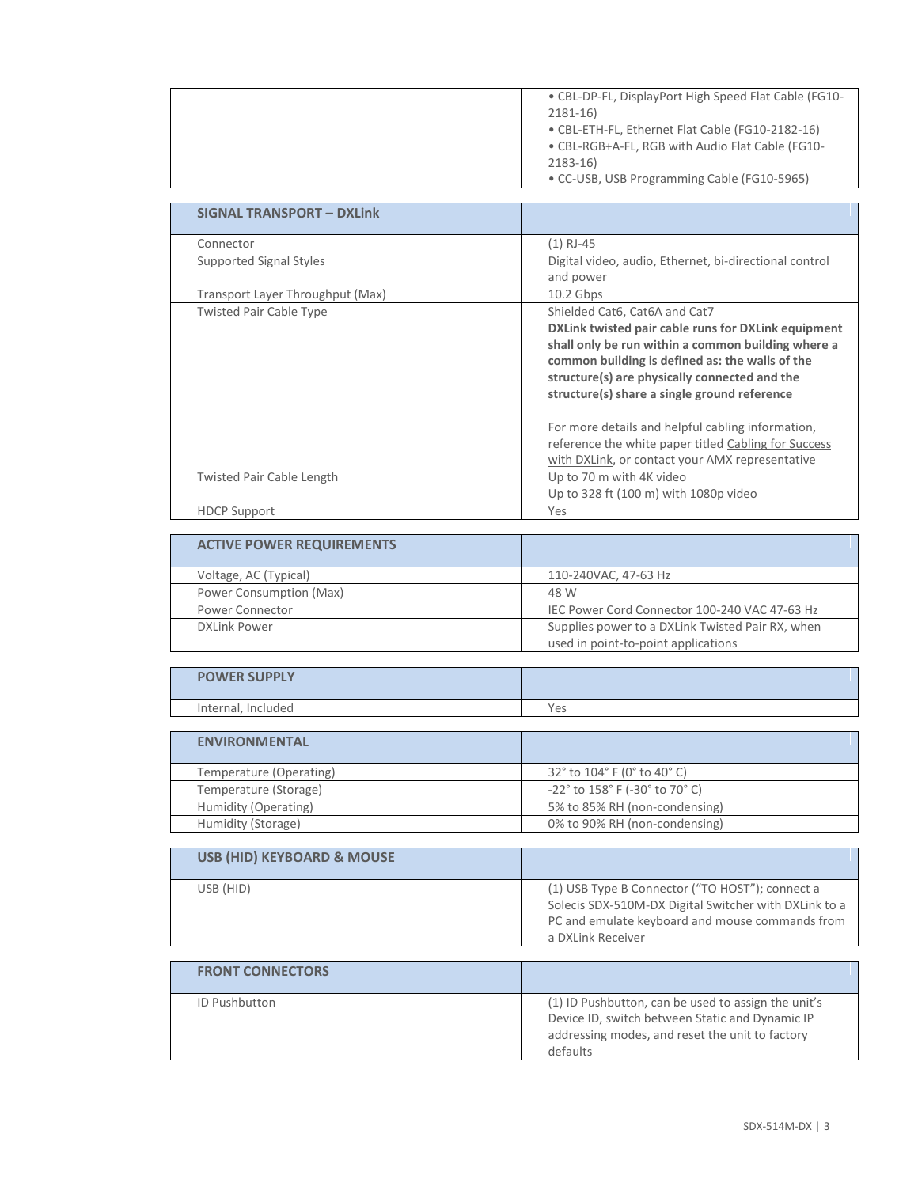| • CBL-DP-FL, DisplayPort High Speed Flat Cable (FG10- |
|-------------------------------------------------------|
| $2181 - 16$                                           |
| • CBL-ETH-FL, Ethernet Flat Cable (FG10-2182-16)      |
| • CBL-RGB+A-FL, RGB with Audio Flat Cable (FG10-      |
| $2183 - 16$                                           |
| • CC-USB, USB Programming Cable (FG10-5965)           |

| <b>SIGNAL TRANSPORT - DXLink</b> |                                                        |
|----------------------------------|--------------------------------------------------------|
| Connector                        | (1) RJ-45                                              |
| Supported Signal Styles          | Digital video, audio, Ethernet, bi-directional control |
|                                  | and power                                              |
| Transport Layer Throughput (Max) | $10.2$ Gbps                                            |
| <b>Twisted Pair Cable Type</b>   | Shielded Cat6, Cat6A and Cat7                          |
|                                  | DXLink twisted pair cable runs for DXLink equipment    |
|                                  | shall only be run within a common building where a     |
|                                  | common building is defined as: the walls of the        |
|                                  | structure(s) are physically connected and the          |
|                                  | structure(s) share a single ground reference           |
|                                  | For more details and helpful cabling information,      |
|                                  | reference the white paper titled Cabling for Success   |
|                                  | with DXLink, or contact your AMX representative        |
| <b>Twisted Pair Cable Length</b> | Up to 70 m with 4K video                               |
|                                  | Up to 328 ft (100 m) with 1080p video                  |
| <b>HDCP Support</b>              | Yes                                                    |

| <b>ACTIVE POWER REQUIREMENTS</b> |                                                  |
|----------------------------------|--------------------------------------------------|
| Voltage, AC (Typical)            | 110-240VAC, 47-63 Hz                             |
| Power Consumption (Max)          | 48 W                                             |
| Power Connector                  | IEC Power Cord Connector 100-240 VAC 47-63 Hz    |
| <b>DXLink Power</b>              | Supplies power to a DXLink Twisted Pair RX, when |
|                                  | used in point-to-point applications              |

| <b>POWER SUPPLY</b> |     |
|---------------------|-----|
| Internal, Included  | Yes |

| <b>ENVIRONMENTAL</b>    |                                         |
|-------------------------|-----------------------------------------|
| Temperature (Operating) | 32° to 104° F (0° to 40° C)             |
| Temperature (Storage)   | $-22^{\circ}$ to 158° F (-30° to 70° C) |
| Humidity (Operating)    | 5% to 85% RH (non-condensing)           |
| Humidity (Storage)      | 0% to 90% RH (non-condensing)           |

| <b>USB (HID) KEYBOARD &amp; MOUSE</b> |                                                                                                                                                                                  |
|---------------------------------------|----------------------------------------------------------------------------------------------------------------------------------------------------------------------------------|
| USB (HID)                             | (1) USB Type B Connector ("TO HOST"); connect a<br>Solecis SDX-510M-DX Digital Switcher with DXLink to a<br>PC and emulate keyboard and mouse commands from<br>a DXLink Receiver |

| <b>FRONT CONNECTORS</b> |                                                                                                                                                                       |
|-------------------------|-----------------------------------------------------------------------------------------------------------------------------------------------------------------------|
| <b>ID Pushbutton</b>    | (1) ID Pushbutton, can be used to assign the unit's<br>Device ID, switch between Static and Dynamic IP<br>addressing modes, and reset the unit to factory<br>defaults |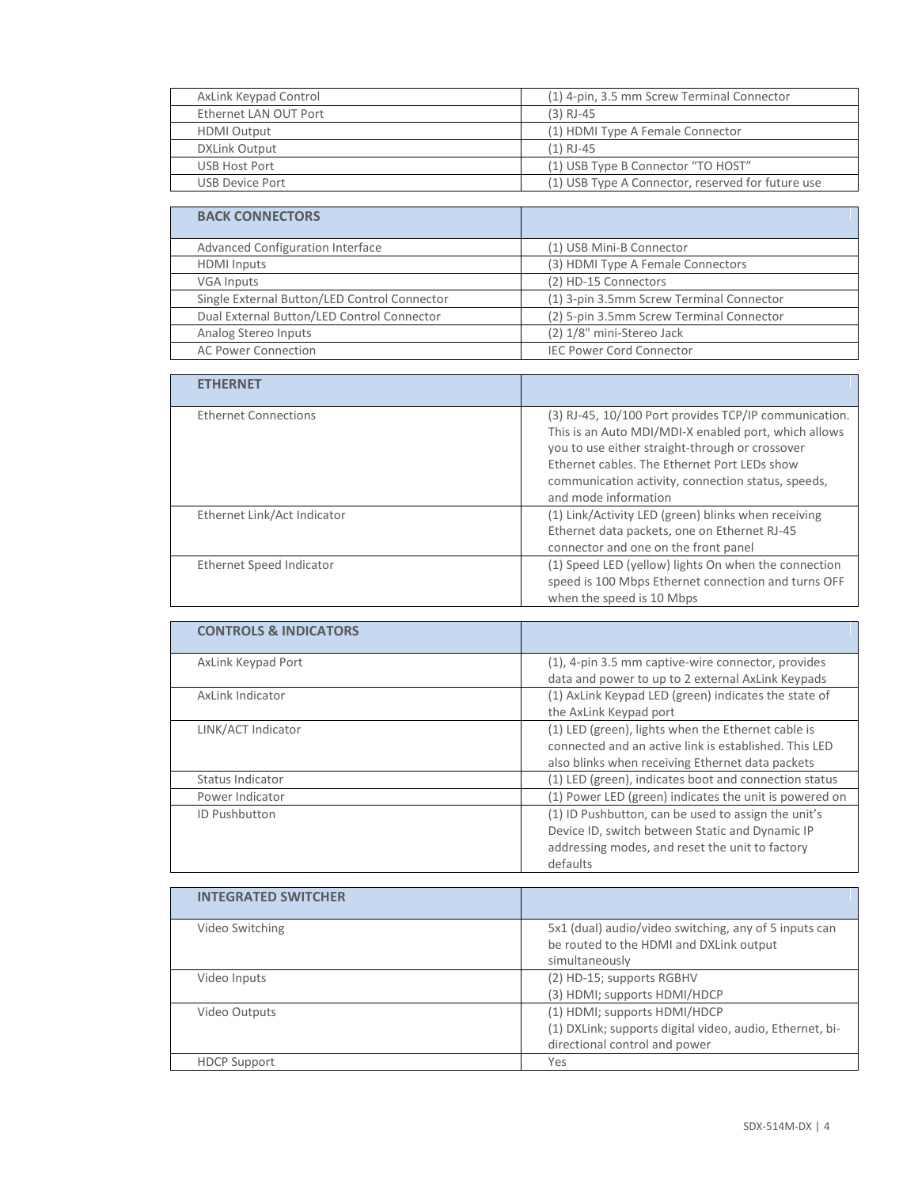| AxLink Keypad Control | (1) 4-pin, 3.5 mm Screw Terminal Connector        |
|-----------------------|---------------------------------------------------|
| Ethernet LAN OUT Port | $(3)$ RJ-45                                       |
| <b>HDMI Output</b>    | (1) HDMI Type A Female Connector                  |
| <b>DXLink Output</b>  | $(1)$ RJ-45                                       |
| USB Host Port         | (1) USB Type B Connector "TO HOST"                |
| USB Device Port       | (1) USB Type A Connector, reserved for future use |

| <b>BACK CONNECTORS</b>                       |                                          |
|----------------------------------------------|------------------------------------------|
| Advanced Configuration Interface             | (1) USB Mini-B Connector                 |
| <b>HDMI</b> Inputs                           | (3) HDMI Type A Female Connectors        |
| <b>VGA Inputs</b>                            | (2) HD-15 Connectors                     |
| Single External Button/LED Control Connector | (1) 3-pin 3.5mm Screw Terminal Connector |
| Dual External Button/LED Control Connector   | (2) 5-pin 3.5mm Screw Terminal Connector |
| Analog Stereo Inputs                         | (2) 1/8" mini-Stereo Jack                |
| <b>AC Power Connection</b>                   | <b>IEC Power Cord Connector</b>          |

| <b>ETHERNET</b>             |                                                                                                                                                                                                                                                                                                |
|-----------------------------|------------------------------------------------------------------------------------------------------------------------------------------------------------------------------------------------------------------------------------------------------------------------------------------------|
| <b>Ethernet Connections</b> | (3) RJ-45, 10/100 Port provides TCP/IP communication.<br>This is an Auto MDI/MDI-X enabled port, which allows<br>you to use either straight-through or crossover<br>Ethernet cables. The Ethernet Port LEDs show<br>communication activity, connection status, speeds,<br>and mode information |
| Ethernet Link/Act Indicator | (1) Link/Activity LED (green) blinks when receiving<br>Ethernet data packets, one on Ethernet RJ-45<br>connector and one on the front panel                                                                                                                                                    |
| Ethernet Speed Indicator    | (1) Speed LED (yellow) lights On when the connection<br>speed is 100 Mbps Ethernet connection and turns OFF<br>when the speed is 10 Mbps                                                                                                                                                       |

| <b>CONTROLS &amp; INDICATORS</b> |                                                                                                                                                                       |
|----------------------------------|-----------------------------------------------------------------------------------------------------------------------------------------------------------------------|
| AxLink Keypad Port               | (1), 4-pin 3.5 mm captive-wire connector, provides<br>data and power to up to 2 external AxLink Keypads                                                               |
| AxLink Indicator                 | (1) AxLink Keypad LED (green) indicates the state of<br>the AxLink Keypad port                                                                                        |
| LINK/ACT Indicator               | (1) LED (green), lights when the Ethernet cable is<br>connected and an active link is established. This LED<br>also blinks when receiving Ethernet data packets       |
| Status Indicator                 | (1) LED (green), indicates boot and connection status                                                                                                                 |
| Power Indicator                  | (1) Power LED (green) indicates the unit is powered on                                                                                                                |
| <b>ID Pushbutton</b>             | (1) ID Pushbutton, can be used to assign the unit's<br>Device ID, switch between Static and Dynamic IP<br>addressing modes, and reset the unit to factory<br>defaults |

| <b>INTEGRATED SWITCHER</b> |                                                                                                                           |
|----------------------------|---------------------------------------------------------------------------------------------------------------------------|
| Video Switching            | 5x1 (dual) audio/video switching, any of 5 inputs can<br>be routed to the HDMI and DXLink output<br>simultaneously        |
| Video Inputs               | (2) HD-15; supports RGBHV<br>(3) HDMI; supports HDMI/HDCP                                                                 |
| Video Outputs              | (1) HDMI; supports HDMI/HDCP<br>(1) DXLink; supports digital video, audio, Ethernet, bi-<br>directional control and power |
| <b>HDCP Support</b>        | Yes                                                                                                                       |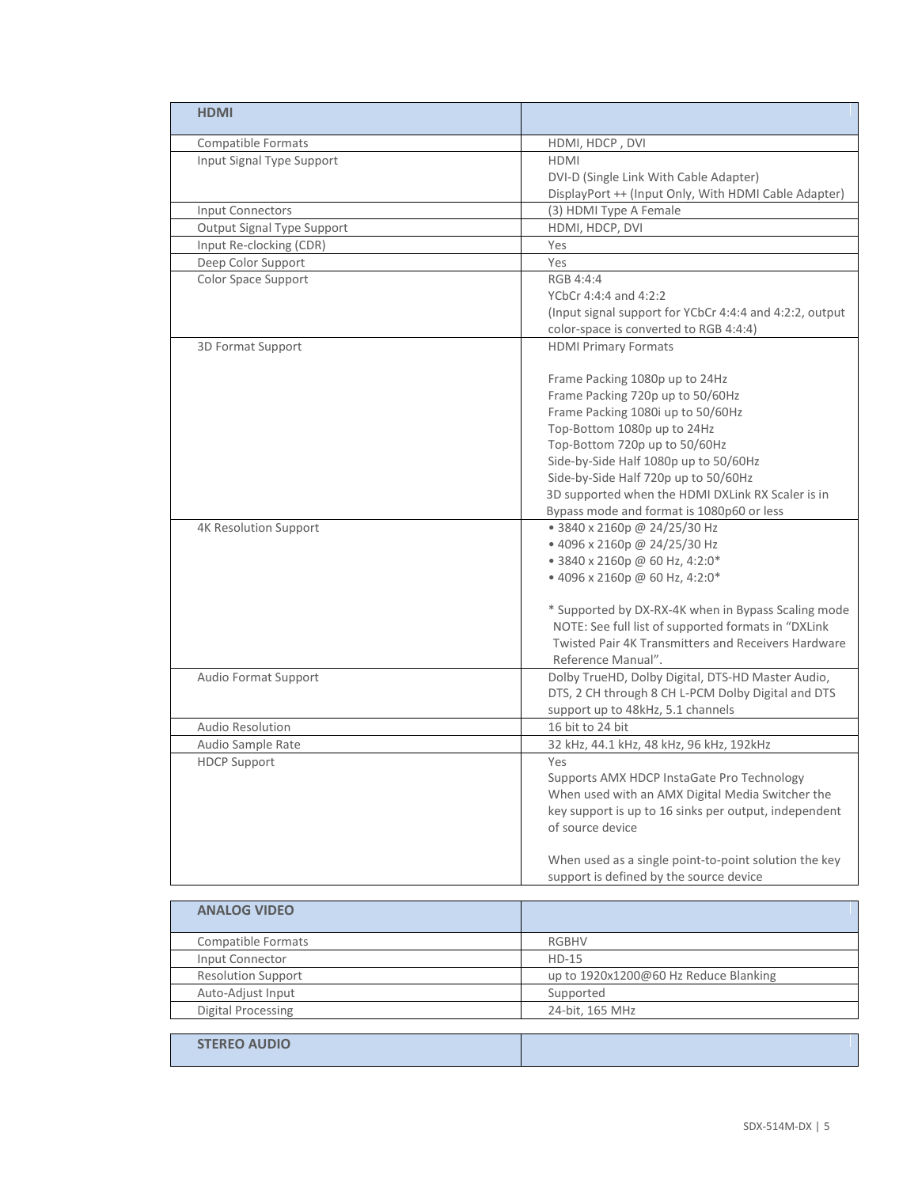| <b>HDMI</b>                  |                                                         |
|------------------------------|---------------------------------------------------------|
| <b>Compatible Formats</b>    | HDMI, HDCP, DVI                                         |
| Input Signal Type Support    | HDMI                                                    |
|                              | DVI-D (Single Link With Cable Adapter)                  |
|                              | DisplayPort ++ (Input Only, With HDMI Cable Adapter)    |
| Input Connectors             | (3) HDMI Type A Female                                  |
| Output Signal Type Support   | HDMI, HDCP, DVI                                         |
| Input Re-clocking (CDR)      | Yes                                                     |
| Deep Color Support           | Yes                                                     |
| Color Space Support          | RGB 4:4:4                                               |
|                              | YCbCr 4:4:4 and 4:2:2                                   |
|                              | (Input signal support for YCbCr 4:4:4 and 4:2:2, output |
|                              | color-space is converted to RGB 4:4:4)                  |
| 3D Format Support            | <b>HDMI Primary Formats</b>                             |
|                              |                                                         |
|                              | Frame Packing 1080p up to 24Hz                          |
|                              | Frame Packing 720p up to 50/60Hz                        |
|                              | Frame Packing 1080i up to 50/60Hz                       |
|                              | Top-Bottom 1080p up to 24Hz                             |
|                              | Top-Bottom 720p up to 50/60Hz                           |
|                              | Side-by-Side Half 1080p up to 50/60Hz                   |
|                              | Side-by-Side Half 720p up to 50/60Hz                    |
|                              | 3D supported when the HDMI DXLink RX Scaler is in       |
|                              | Bypass mode and format is 1080p60 or less               |
| <b>4K Resolution Support</b> | • 3840 x 2160p @ 24/25/30 Hz                            |
|                              | • 4096 x 2160p @ 24/25/30 Hz                            |
|                              | • 3840 x 2160p @ 60 Hz, 4:2:0*                          |
|                              | • 4096 x 2160p @ 60 Hz, 4:2:0*                          |
|                              |                                                         |
|                              | * Supported by DX-RX-4K when in Bypass Scaling mode     |
|                              | NOTE: See full list of supported formats in "DXLink     |
|                              | Twisted Pair 4K Transmitters and Receivers Hardware     |
|                              | Reference Manual".                                      |
| Audio Format Support         | Dolby TrueHD, Dolby Digital, DTS-HD Master Audio,       |
|                              | DTS, 2 CH through 8 CH L-PCM Dolby Digital and DTS      |
|                              | support up to 48kHz, 5.1 channels                       |
| <b>Audio Resolution</b>      | 16 bit to 24 bit                                        |
| Audio Sample Rate            | 32 kHz, 44.1 kHz, 48 kHz, 96 kHz, 192 kHz               |
| <b>HDCP Support</b>          | Yes                                                     |
|                              | Supports AMX HDCP InstaGate Pro Technology              |
|                              | When used with an AMX Digital Media Switcher the        |
|                              | key support is up to 16 sinks per output, independent   |
|                              | of source device                                        |
|                              |                                                         |
|                              | When used as a single point-to-point solution the key   |
|                              | support is defined by the source device                 |
|                              |                                                         |
| <b>ANALOG VIDEO</b>          |                                                         |
| <b>Compatible Formats</b>    | <b>RGBHV</b>                                            |
| Input Connector              | $HD-15$                                                 |
| <b>Resolution Support</b>    | up to 1920x1200@60 Hz Reduce Blanking                   |
| Auto-Adjust Input            | Supported                                               |
| <b>Digital Processing</b>    | 24-bit, 165 MHz                                         |
|                              |                                                         |
| <b>STEREO AUDIO</b>          |                                                         |

 $\mathbf{r}$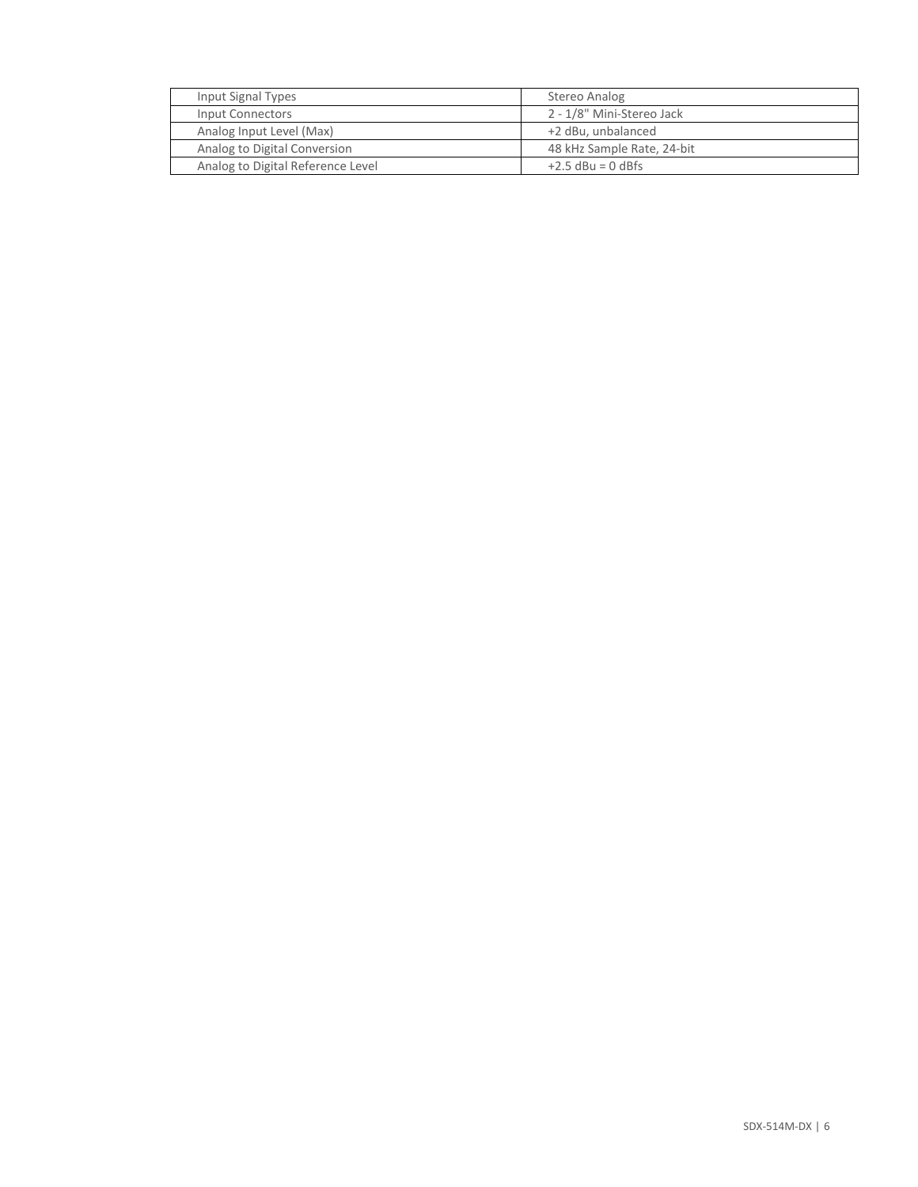| Input Signal Types                | Stereo Analog              |
|-----------------------------------|----------------------------|
| Input Connectors                  | 2 - 1/8" Mini-Stereo Jack  |
| Analog Input Level (Max)          | +2 dBu, unbalanced         |
| Analog to Digital Conversion      | 48 kHz Sample Rate, 24-bit |
| Analog to Digital Reference Level | $+2.5$ dBu = 0 dBfs        |